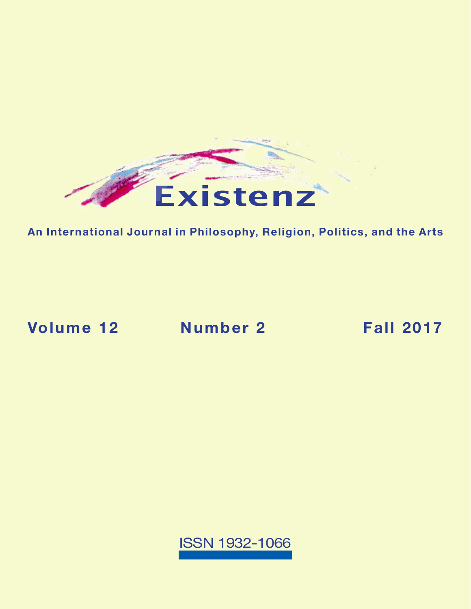

**An International Journal in Philosophy, Religion, Politics, and the Arts**

**[Volume 12](https://existenz.us/volume12No2.html) Number 2 Fall 2017**

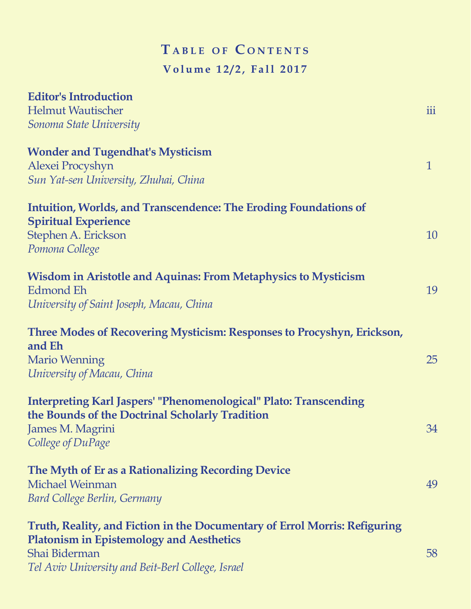# $T$  **a** BLE OF CONTENTS **Volume 12/2, Fall 2017**

| <b>Editor's Introduction</b>                                                            |              |
|-----------------------------------------------------------------------------------------|--------------|
| <b>Helmut Wautischer</b>                                                                | iii          |
| Sonoma State University                                                                 |              |
| <b>Wonder and Tugendhat's Mysticism</b>                                                 |              |
| Alexei Procyshyn                                                                        | $\mathbf{1}$ |
| Sun Yat-sen University, Zhuhai, China                                                   |              |
| <b>Intuition, Worlds, and Transcendence: The Eroding Foundations of</b>                 |              |
| <b>Spiritual Experience</b>                                                             |              |
| Stephen A. Erickson                                                                     | 10           |
| Pomona College                                                                          |              |
| <b>Wisdom in Aristotle and Aquinas: From Metaphysics to Mysticism</b>                   |              |
| Edmond Eh                                                                               | 19           |
| University of Saint Joseph, Macau, China                                                |              |
| <b>Three Modes of Recovering Mysticism: Responses to Procyshyn, Erickson,</b><br>and Eh |              |
| <b>Mario Wenning</b>                                                                    | 25           |
| University of Macau, China                                                              |              |
| <b>Interpreting Karl Jaspers' "Phenomenological" Plato: Transcending</b>                |              |
| the Bounds of the Doctrinal Scholarly Tradition                                         |              |
| James M. Magrini                                                                        | 34           |
| College of DuPage                                                                       |              |
| The Myth of Er as a Rationalizing Recording Device                                      |              |
| Michael Weinman                                                                         | 49           |
| <b>Bard College Berlin, Germany</b>                                                     |              |
| Truth, Reality, and Fiction in the Documentary of Errol Morris: Refiguring              |              |
| <b>Platonism in Epistemology and Aesthetics</b>                                         |              |
| Shai Biderman                                                                           | 58           |
| Tel Aviv University and Beit-Berl College, Israel                                       |              |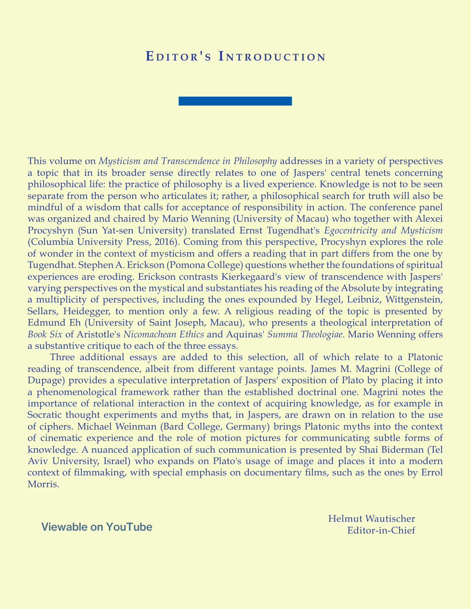### EDITOR'S INTRODUCTION

This volume on *Mysticism and Transcendence in Philosophy* addresses in a variety of perspectives a topic that in its broader sense directly relates to one of Jaspers' central tenets concerning philosophical life: the practice of philosophy is a lived experience. Knowledge is not to be seen separate from the person who articulates it; rather, a philosophical search for truth will also be mindful of a wisdom that calls for acceptance of responsibility in action. The conference panel was organized and chaired by Mario Wenning (University of Macau) who together with Alexei Procyshyn (Sun Yat-sen University) translated Ernst Tugendhat's *Egocentricity and Mysticism* (Columbia University Press, 2016). Coming from this perspective, Procyshyn explores the role of wonder in the context of mysticism and offers a reading that in part differs from the one by Tugendhat. Stephen A. Erickson (Pomona College) questions whether the foundations of spiritual experiences are eroding. Erickson contrasts Kierkegaard's view of transcendence with Jaspers' varying perspectives on the mystical and substantiates his reading of the Absolute by integrating a multiplicity of perspectives, including the ones expounded by Hegel, Leibniz, Wittgenstein, Sellars, Heidegger, to mention only a few. A religious reading of the topic is presented by Edmund Eh (University of Saint Joseph, Macau), who presents a theological interpretation of *Book Six* of Aristotle's *Nicomachean Ethics* and Aquinas' *Summa Theologiae*. Mario Wenning offers a substantive critique to each of the three essays.

Three additional essays are added to this selection, all of which relate to a Platonic reading of transcendence, albeit from different vantage points. James M. Magrini (College of Dupage) provides a speculative interpretation of Jaspers' exposition of Plato by placing it into a phenomenological framework rather than the established doctrinal one. Magrini notes the importance of relational interaction in the context of acquiring knowledge, as for example in Socratic thought experiments and myths that, in Jaspers, are drawn on in relation to the use of ciphers. Michael Weinman (Bard College, Germany) brings Platonic myths into the context of cinematic experience and the role of motion pictures for communicating subtle forms of knowledge. A nuanced application of such communication is presented by Shai Biderman (Tel Aviv University, Israel) who expands on Plato's usage of image and places it into a modern context of filmmaking, with special emphasis on documentary films, such as the ones by Errol Morris.

#### [Viewable on YouTube](https://youtu.be/5c0CiaAmZ_4)

Helmut Wautischer Editor-in-Chief